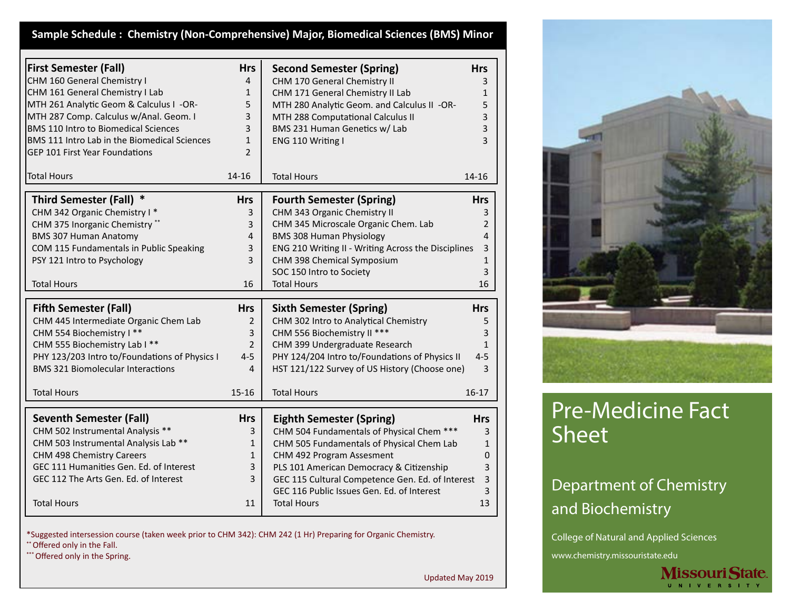# **Sample Schedule : Chemistry (Non-Comprehensive) Major, Biomedical Sciences (BMS) Minor**

| <b>First Semester (Fall)</b>                  | <b>Hrs</b>     | <b>Second Semester (Spring)</b>                                              | <b>Hrs</b>     |
|-----------------------------------------------|----------------|------------------------------------------------------------------------------|----------------|
| CHM 160 General Chemistry I                   | 4              | CHM 170 General Chemistry II                                                 | 3              |
| CHM 161 General Chemistry I Lab               | $\mathbf{1}$   | CHM 171 General Chemistry II Lab                                             | $\mathbf{1}$   |
| MTH 261 Analytic Geom & Calculus I -OR-       | 5              | MTH 280 Analytic Geom. and Calculus II -OR-                                  | 5              |
| MTH 287 Comp. Calculus w/Anal. Geom. I        | 3              | MTH 288 Computational Calculus II                                            | 3              |
| <b>BMS 110 Intro to Biomedical Sciences</b>   | 3              | BMS 231 Human Genetics w/ Lab                                                | 3              |
| BMS 111 Intro Lab in the Biomedical Sciences  | $\mathbf{1}$   | ENG 110 Writing I                                                            | 3              |
| <b>GEP 101 First Year Foundations</b>         | $\mathcal{P}$  |                                                                              |                |
| <b>Total Hours</b>                            | $14 - 16$      | <b>Total Hours</b>                                                           | 14-16          |
| Third Semester (Fall) *                       | <b>Hrs</b>     | <b>Fourth Semester (Spring)</b>                                              | <b>Hrs</b>     |
| CHM 342 Organic Chemistry I*                  | 3              | CHM 343 Organic Chemistry II                                                 | 3              |
| CHM 375 Inorganic Chemistry **                | 3              | CHM 345 Microscale Organic Chem. Lab                                         | $\overline{2}$ |
| <b>BMS 307 Human Anatomy</b>                  | 4              | <b>BMS 308 Human Physiology</b>                                              | 4              |
| COM 115 Fundamentals in Public Speaking       | 3              | ENG 210 Writing II - Writing Across the Disciplines                          | 3              |
| PSY 121 Intro to Psychology                   | 3              | CHM 398 Chemical Symposium                                                   | $\mathbf{1}$   |
|                                               |                | SOC 150 Intro to Society                                                     | 3              |
| <b>Total Hours</b>                            | 16             | <b>Total Hours</b>                                                           | 16             |
|                                               |                |                                                                              |                |
| <b>Fifth Semester (Fall)</b>                  | <b>Hrs</b>     | <b>Sixth Semester (Spring)</b>                                               | <b>Hrs</b>     |
| CHM 445 Intermediate Organic Chem Lab         | $\overline{2}$ | CHM 302 Intro to Analytical Chemistry                                        | 5              |
| CHM 554 Biochemistry I **                     | 3              | CHM 556 Biochemistry II ***                                                  | 3              |
| CHM 555 Biochemistry Lab I **                 | $\overline{2}$ | CHM 399 Undergraduate Research                                               | $\mathbf{1}$   |
| PHY 123/203 Intro to/Foundations of Physics I | $4 - 5$        | PHY 124/204 Intro to/Foundations of Physics II                               | $4 - 5$        |
| <b>BMS 321 Biomolecular Interactions</b>      | 4              | HST 121/122 Survey of US History (Choose one)                                | 3              |
|                                               |                |                                                                              |                |
| <b>Total Hours</b>                            | $15 - 16$      | <b>Total Hours</b>                                                           | $16 - 17$      |
| <b>Seventh Semester (Fall)</b>                | <b>Hrs</b>     |                                                                              | <b>Hrs</b>     |
| CHM 502 Instrumental Analysis **              | 3              | <b>Eighth Semester (Spring)</b><br>CHM 504 Fundamentals of Physical Chem *** | 3              |
| CHM 503 Instrumental Analysis Lab **          | $\mathbf{1}$   | CHM 505 Fundamentals of Physical Chem Lab                                    |                |
| CHM 498 Chemistry Careers                     | $\mathbf{1}$   | CHM 492 Program Assesment                                                    | 1<br>0         |
| GEC 111 Humanities Gen. Ed. of Interest       | 3              | PLS 101 American Democracy & Citizenship                                     | 3              |
| GEC 112 The Arts Gen. Ed. of Interest         | 3              | GEC 115 Cultural Competence Gen. Ed. of Interest                             | 3              |
|                                               |                | GEC 116 Public Issues Gen. Ed. of Interest                                   |                |
| <b>Total Hours</b>                            | 11             | <b>Total Hours</b>                                                           | 3<br>13        |
|                                               |                |                                                                              |                |

\*Suggested intersession course (taken week prior to CHM 342): CHM 242 (1 Hr) Preparing for Organic Chemistry. \*\* Offered only in the Fall.

\*\*\* Offered only in the Spring.

Updated May 2019



# Pre-Medicine Fact Sheet

# Department of Chemistry and Biochemistry

College of Natural and Applied Sciences

www.chemistry.missouristate.edu